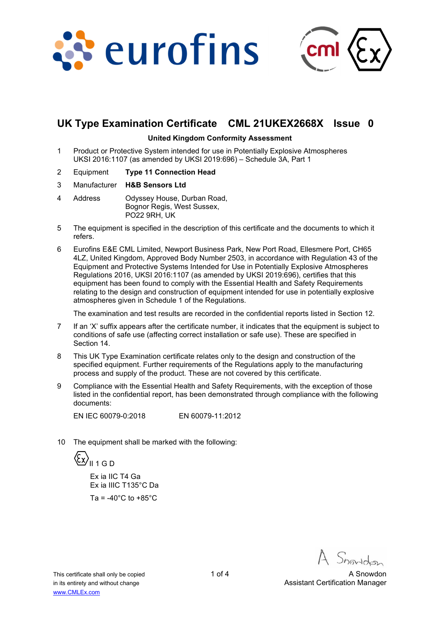



# **UK Type Examination Certificate CML 21UKEX2668X Issue 0**

#### **United Kingdom Conformity Assessment**

- 1 Product or Protective System intended for use in Potentially Explosive Atmospheres UKSI 2016:1107 (as amended by UKSI 2019:696) – Schedule 3A, Part 1
- 2 Equipment **Type 11 Connection Head**
- 3 Manufacturer **H&B Sensors Ltd**
- 4 Address Odyssey House, Durban Road, Bognor Regis, West Sussex, PO22 9RH, UK
- 5 The equipment is specified in the description of this certificate and the documents to which it refers.
- 6 Eurofins E&E CML Limited, Newport Business Park, New Port Road, Ellesmere Port, CH65 4LZ, United Kingdom, Approved Body Number 2503, in accordance with Regulation 43 of the Equipment and Protective Systems Intended for Use in Potentially Explosive Atmospheres Regulations 2016, UKSI 2016:1107 (as amended by UKSI 2019:696), certifies that this equipment has been found to comply with the Essential Health and Safety Requirements relating to the design and construction of equipment intended for use in potentially explosive atmospheres given in Schedule 1 of the Regulations.

The examination and test results are recorded in the confidential reports listed in Section 12.

- 7 If an 'X' suffix appears after the certificate number, it indicates that the equipment is subject to conditions of safe use (affecting correct installation or safe use). These are specified in Section 14.
- 8 This UK Type Examination certificate relates only to the design and construction of the specified equipment. Further requirements of the Regulations apply to the manufacturing process and supply of the product. These are not covered by this certificate.
- 9 Compliance with the Essential Health and Safety Requirements, with the exception of those listed in the confidential report, has been demonstrated through compliance with the following documents:

EN IEC 60079-0:2018 EN 60079-11:2012

10 The equipment shall be marked with the following:

 $\left\langle \xi_{\underline{X}} \right\rangle_{\text{II 1 G D}}$ 

 Ex ia IIC T4 Ga Ex ia IIIC T135°C Da Ta =  $-40^{\circ}$ C to  $+85^{\circ}$ C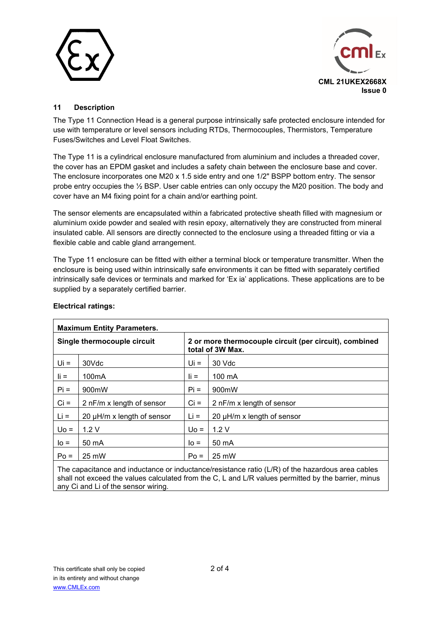



### **11 Description**

The Type 11 Connection Head is a general purpose intrinsically safe protected enclosure intended for use with temperature or level sensors including RTDs, Thermocouples, Thermistors, Temperature Fuses/Switches and Level Float Switches.

The Type 11 is a cylindrical enclosure manufactured from aluminium and includes a threaded cover, the cover has an EPDM gasket and includes a safety chain between the enclosure base and cover. The enclosure incorporates one M20 x 1.5 side entry and one 1/2" BSPP bottom entry. The sensor probe entry occupies the ½ BSP. User cable entries can only occupy the M20 position. The body and cover have an M4 fixing point for a chain and/or earthing point.

The sensor elements are encapsulated within a fabricated protective sheath filled with magnesium or aluminium oxide powder and sealed with resin epoxy, alternatively they are constructed from mineral insulated cable. All sensors are directly connected to the enclosure using a threaded fitting or via a flexible cable and cable gland arrangement.

The Type 11 enclosure can be fitted with either a terminal block or temperature transmitter. When the enclosure is being used within intrinsically safe environments it can be fitted with separately certified intrinsically safe devices or terminals and marked for 'Ex ia' applications. These applications are to be supplied by a separately certified barrier.

| <b>Maximum Entity Parameters.</b> |                            |                                                                            |                                 |  |  |
|-----------------------------------|----------------------------|----------------------------------------------------------------------------|---------------------------------|--|--|
| Single thermocouple circuit       |                            | 2 or more thermocouple circuit (per circuit), combined<br>total of 3W Max. |                                 |  |  |
| $Ui =$                            | 30Vdc                      | Ui =                                                                       | 30 Vdc                          |  |  |
| $\mathbf{I}$ i =                  | 100 <sub>m</sub> A         | $\mathbf{I}$ i =                                                           | $100 \text{ mA}$                |  |  |
| $Pi =$                            | 900mW                      | $Pi =$                                                                     | 900mW                           |  |  |
| $Ci =$                            | 2 nF/m x length of sensor  | $Ci =$                                                                     | 2 nF/m x length of sensor       |  |  |
| $Li =$                            | 20 µH/m x length of sensor | $Li =$                                                                     | 20 $\mu$ H/m x length of sensor |  |  |
| $U_0 =$                           | 1.2V                       | $U_0 =$                                                                    | 1.2V                            |  |  |
| $I_0 =$                           | 50 mA                      | $IO =$                                                                     | 50 mA                           |  |  |
| $Po =$                            | 25 mW                      | $Po =$                                                                     | 25 mW                           |  |  |

#### **Electrical ratings:**

The capacitance and inductance or inductance/resistance ratio (L/R) of the hazardous area cables shall not exceed the values calculated from the C, L and L/R values permitted by the barrier, minus any Ci and Li of the sensor wiring.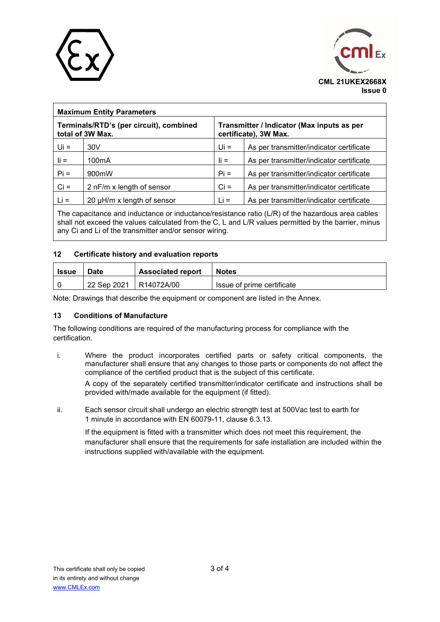



| <b>Maximum Entity Parameters</b>                            |                                 |                                                                     |                                          |  |  |
|-------------------------------------------------------------|---------------------------------|---------------------------------------------------------------------|------------------------------------------|--|--|
| Terminals/RTD's (per circuit), combined<br>total of 3W Max. |                                 | Transmitter / Indicator (Max inputs as per<br>certificate), 3W Max. |                                          |  |  |
| $Ui =$                                                      | 30V                             | $Ui =$                                                              | As per transmitter/indicator certificate |  |  |
| $\mathbf{I}$ i =                                            | 100 <sub>m</sub> A              | $\mathbf{I}$ i =                                                    | As per transmitter/indicator certificate |  |  |
| $Pi =$                                                      | 900mW                           | $Pi =$                                                              | As per transmitter/indicator certificate |  |  |
| $Ci =$                                                      | 2 nF/m x length of sensor       | $Ci =$                                                              | As per transmitter/indicator certificate |  |  |
| $Li =$                                                      | 20 $\mu$ H/m x length of sensor | $Li =$                                                              | As per transmitter/indicator certificate |  |  |
|                                                             |                                 |                                                                     |                                          |  |  |

The capacitance and inductance or inductance/resistance ratio (L/R) of the hazardous area cables shall not exceed the values calculated from the C, L and L/R values permitted by the barrier, minus any Ci and Li of the transmitter and/or sensor wiring.

#### **12 Certificate history and evaluation reports**

| Issue | <b>Associated report</b><br><b>Date</b> |            | <b>Notes</b>               |
|-------|-----------------------------------------|------------|----------------------------|
|       | 22 Sep 2021                             | R14072A/00 | Issue of prime certificate |

Note: Drawings that describe the equipment or component are listed in the Annex.

#### **13 Conditions of Manufacture**

The following conditions are required of the manufacturing process for compliance with the certification.

i. Where the product incorporates certified parts or safety critical components, the manufacturer shall ensure that any changes to those parts or components do not affect the compliance of the certified product that is the subject of this certificate.

A copy of the separately certified transmitter/indicator certificate and instructions shall be provided with/made available for the equipment (if fitted).

ii. Each sensor circuit shall undergo an electric strength test at 500Vac test to earth for 1 minute in accordance with EN 60079-11, clause 6.3.13.

If the equipment is fitted with a transmitter which does not meet this requirement, the manufacturer shall ensure that the requirements for safe installation are included within the instructions supplied with/available with the equipment.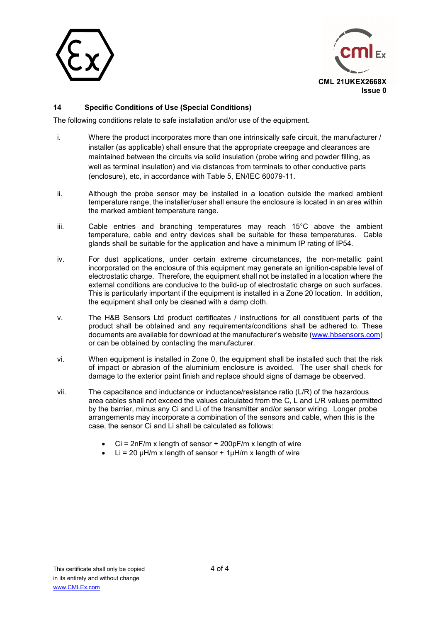



### **14 Specific Conditions of Use (Special Conditions)**

The following conditions relate to safe installation and/or use of the equipment.

- i. Where the product incorporates more than one intrinsically safe circuit, the manufacturer / installer (as applicable) shall ensure that the appropriate creepage and clearances are maintained between the circuits via solid insulation (probe wiring and powder filling, as well as terminal insulation) and via distances from terminals to other conductive parts (enclosure), etc, in accordance with Table 5, EN/IEC 60079-11.
- ii. Although the probe sensor may be installed in a location outside the marked ambient temperature range, the installer/user shall ensure the enclosure is located in an area within the marked ambient temperature range.
- iii. Cable entries and branching temperatures may reach 15°C above the ambient temperature, cable and entry devices shall be suitable for these temperatures. Cable glands shall be suitable for the application and have a minimum IP rating of IP54.
- iv. For dust applications, under certain extreme circumstances, the non-metallic paint incorporated on the enclosure of this equipment may generate an ignition-capable level of electrostatic charge. Therefore, the equipment shall not be installed in a location where the external conditions are conducive to the build-up of electrostatic charge on such surfaces. This is particularly important if the equipment is installed in a Zone 20 location. In addition, the equipment shall only be cleaned with a damp cloth.
- v. The H&B Sensors Ltd product certificates / instructions for all constituent parts of the product shall be obtained and any requirements/conditions shall be adhered to. These documents are available for download at the manufacturer's website (www.hbsensors.com) or can be obtained by contacting the manufacturer.
- vi. When equipment is installed in Zone 0, the equipment shall be installed such that the risk of impact or abrasion of the aluminium enclosure is avoided. The user shall check for damage to the exterior paint finish and replace should signs of damage be observed.
- vii. The capacitance and inductance or inductance/resistance ratio (L/R) of the hazardous area cables shall not exceed the values calculated from the C, L and L/R values permitted by the barrier, minus any Ci and Li of the transmitter and/or sensor wiring. Longer probe arrangements may incorporate a combination of the sensors and cable, when this is the case, the sensor Ci and Li shall be calculated as follows:
	- $Ci = 2nF/m x$  length of sensor  $+ 200pF/m x$  length of wire
	- $\bullet$  Li = 20 uH/m x length of sensor + 1uH/m x length of wire